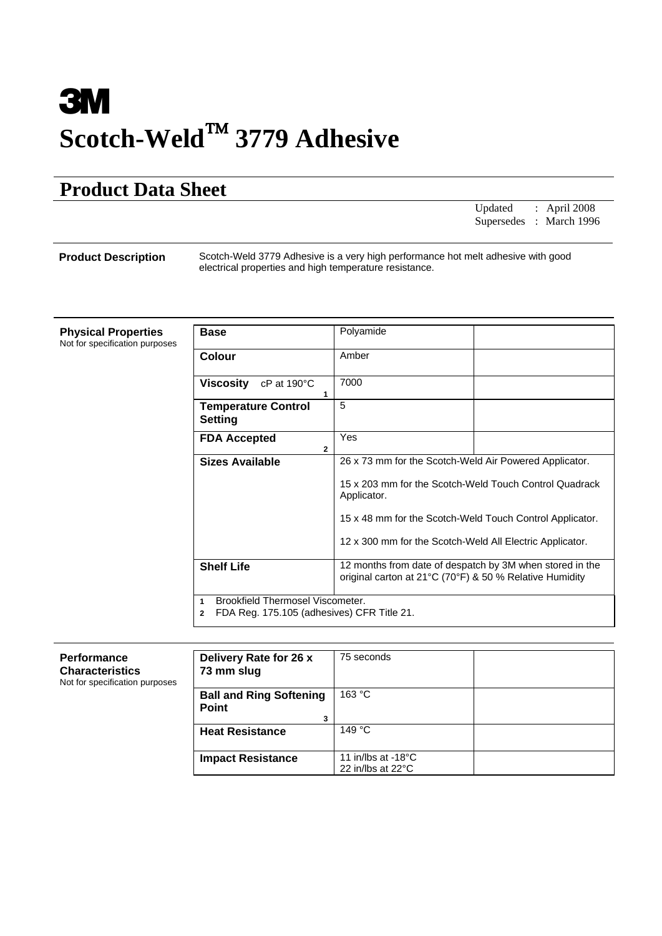# **3M Scotch-Weld**™ **3779 Adhesive**

## **Product Data Sheet**

| Updated : April 2008<br>Supersedes : March 1996 |  |
|-------------------------------------------------|--|
|                                                 |  |

 **Product Description** Scotch-Weld 3779 Adhesive is a very high performance hot melt adhesive with good electrical properties and high temperature resistance.

| <b>Physical Properties</b><br>Not for specification purposes | <b>Base</b>                                                                                         | Polyamide                                                                                                                                                                                                                                               |
|--------------------------------------------------------------|-----------------------------------------------------------------------------------------------------|---------------------------------------------------------------------------------------------------------------------------------------------------------------------------------------------------------------------------------------------------------|
|                                                              | Colour                                                                                              | Amber                                                                                                                                                                                                                                                   |
|                                                              | <b>Viscosity</b><br>$cP$ at 190 $\degree$ C                                                         | 7000                                                                                                                                                                                                                                                    |
|                                                              | <b>Temperature Control</b><br><b>Setting</b>                                                        | 5                                                                                                                                                                                                                                                       |
|                                                              | <b>FDA Accepted</b>                                                                                 | Yes                                                                                                                                                                                                                                                     |
|                                                              | <b>Sizes Available</b>                                                                              | 26 x 73 mm for the Scotch-Weld Air Powered Applicator.<br>15 x 203 mm for the Scotch-Weld Touch Control Quadrack<br>Applicator.<br>15 x 48 mm for the Scotch-Weld Touch Control Applicator.<br>12 x 300 mm for the Scotch-Weld All Electric Applicator. |
|                                                              | <b>Shelf Life</b>                                                                                   | 12 months from date of despatch by 3M when stored in the<br>original carton at 21°C (70°F) & 50 % Relative Humidity                                                                                                                                     |
|                                                              | Brookfield Thermosel Viscometer.<br>1<br>FDA Reg. 175.105 (adhesives) CFR Title 21.<br>$\mathbf{2}$ |                                                                                                                                                                                                                                                         |

| <b>Performance</b><br><b>Characteristics</b><br>Not for specification purposes | Delivery Rate for 26 x<br>73 mm slug                | 75 seconds                                                  |  |
|--------------------------------------------------------------------------------|-----------------------------------------------------|-------------------------------------------------------------|--|
|                                                                                | <b>Ball and Ring Softening</b><br><b>Point</b><br>3 | 163 °C                                                      |  |
|                                                                                | <b>Heat Resistance</b>                              | 149 $^{\circ}$ C                                            |  |
|                                                                                | <b>Impact Resistance</b>                            | 11 in/lbs at $-18^{\circ}$ C<br>22 in/lbs at $22^{\circ}$ C |  |